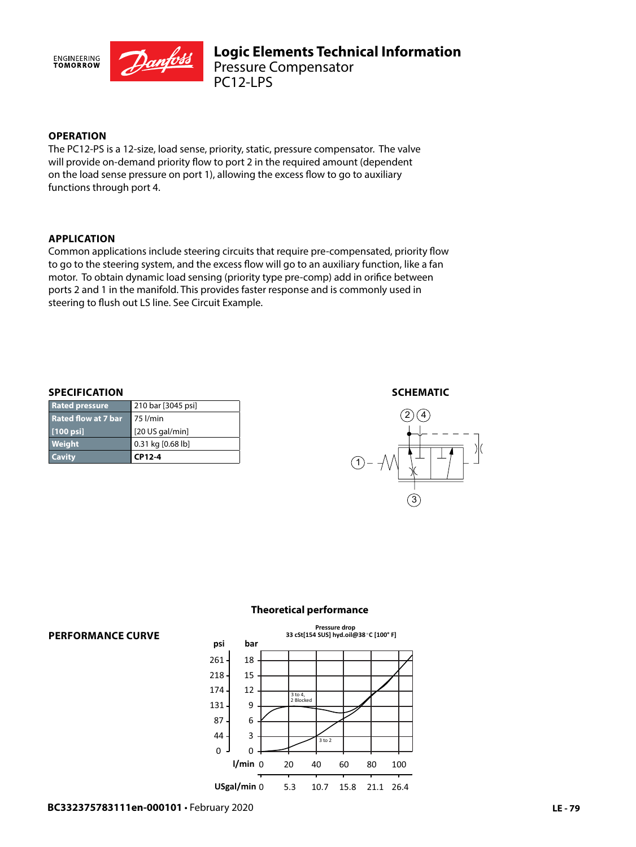

## **OPERATION**

The PC12-PS is a 12-size, load sense, priority, static, pressure compensator. The valve will provide on-demand priority flow to port 2 in the required amount (dependent on the load sense pressure on port 1), allowing the excess flow to go to auxiliary functions through port 4.

### **APPLICATION**

Common applications include steering circuits that require pre-compensated, priority flow to go to the steering system, and the excess flow will go to an auxiliary function, like a fan motor. To obtain dynamic load sensing (priority type pre-comp) add in orifice between ports 2 and 1 in the manifold. This provides faster response and is commonly used in steering to flush out LS line. See Circuit Example.

#### **SPECIFICATION**

| <b>Rated pressure</b>      | 210 bar [3045 psi] |
|----------------------------|--------------------|
| <b>Rated flow at 7 bar</b> | ∦75 l/min          |
| [100 psi]                  | $[20$ US gal/min]  |
| Weight                     | 0.31 kg [0.68 lb]  |
| <b>Cavity</b>              | CP12-4             |

#### **SCHEMATIC**





#### **Theoretical performance**

# **PERFORMANCE CURVE**